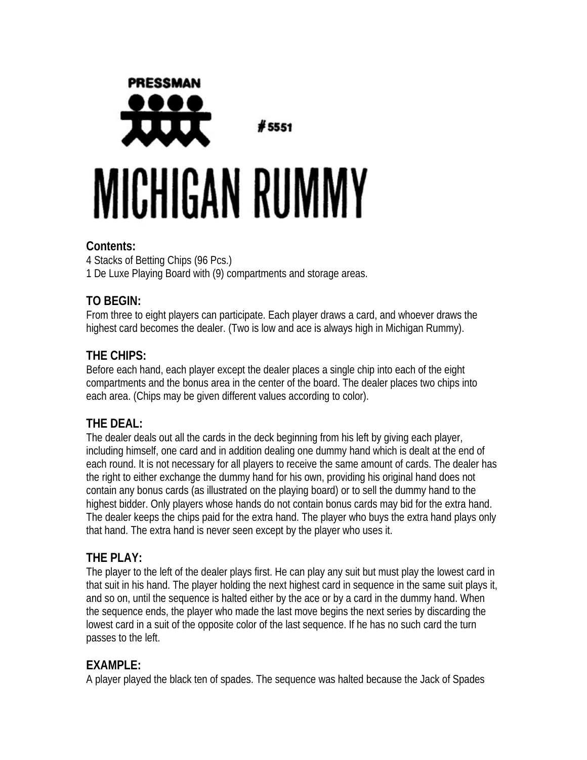

#### **Contents:**

4 Stacks of Betting Chips (96 Pcs.) 1 De Luxe Playing Board with (9) compartments and storage areas.

## **TO BEGIN:**

From three to eight players can participate. Each player draws a card, and whoever draws the highest card becomes the dealer. (Two is low and ace is always high in Michigan Rummy).

# **THE CHIPS:**

Before each hand, each player except the dealer places a single chip into each of the eight compartments and the bonus area in the center of the board. The dealer places two chips into each area. (Chips may be given different values according to color).

## **THE DEAL:**

The dealer deals out all the cards in the deck beginning from his left by giving each player, including himself, one card and in addition dealing one dummy hand which is dealt at the end of each round. It is not necessary for all players to receive the same amount of cards. The dealer has the right to either exchange the dummy hand for his own, providing his original hand does not contain any bonus cards (as illustrated on the playing board) or to sell the dummy hand to the highest bidder. Only players whose hands do not contain bonus cards may bid for the extra hand. The dealer keeps the chips paid for the extra hand. The player who buys the extra hand plays only that hand. The extra hand is never seen except by the player who uses it.

### **THE PLAY:**

The player to the left of the dealer plays first. He can play any suit but must play the lowest card in that suit in his hand. The player holding the next highest card in sequence in the same suit plays it, and so on, until the sequence is halted either by the ace or by a card in the dummy hand. When the sequence ends, the player who made the last move begins the next series by discarding the lowest card in a suit of the opposite color of the last sequence. If he has no such card the turn passes to the left.

## **EXAMPLE:**

A player played the black ten of spades. The sequence was halted because the Jack of Spades